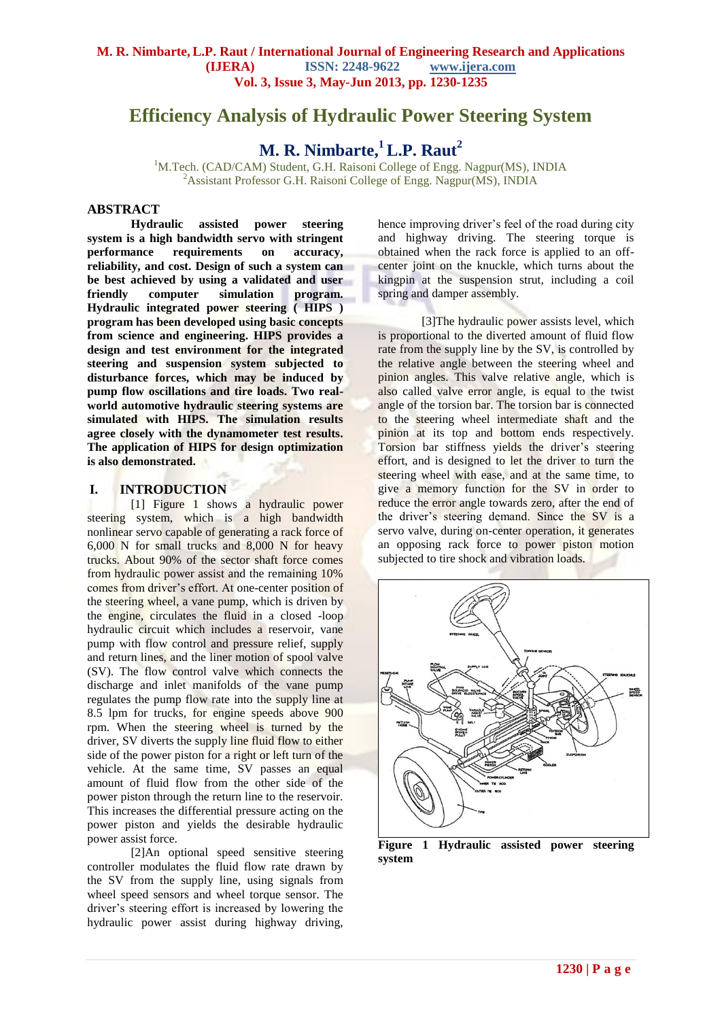# **Efficiency Analysis of Hydraulic Power Steering System**

**M. R. Nimbarte,<sup>1</sup>L.P. Raut<sup>2</sup>**

<sup>1</sup>M.Tech. (CAD/CAM) Student, G.H. Raisoni College of Engg. Nagpur(MS), INDIA <sup>2</sup> Assistant Professor G.H. Raisoni College of Engg. Nagpur(MS), INDIA

## **ABSTRACT**

**Hydraulic assisted power steering system is a high bandwidth servo with stringent performance requirements on accuracy, reliability, and cost. Design of such a system can be best achieved by using a validated and user friendly computer simulation program. Hydraulic integrated power steering ( HIPS ) program has been developed using basic concepts from science and engineering. HIPS provides a design and test environment for the integrated steering and suspension system subjected to disturbance forces, which may be induced by pump flow oscillations and tire loads. Two realworld automotive hydraulic steering systems are simulated with HIPS. The simulation results agree closely with the dynamometer test results. The application of HIPS for design optimization is also demonstrated.**

## **I. INTRODUCTION**

[1] Figure 1 shows a hydraulic power steering system, which is a high bandwidth nonlinear servo capable of generating a rack force of 6,000 N for small trucks and 8,000 N for heavy trucks. About 90% of the sector shaft force comes from hydraulic power assist and the remaining 10% comes from driver's effort. At one-center position of the steering wheel, a vane pump, which is driven by the engine, circulates the fluid in a closed -loop hydraulic circuit which includes a reservoir, vane pump with flow control and pressure relief, supply and return lines, and the liner motion of spool valve (SV). The flow control valve which connects the discharge and inlet manifolds of the vane pump regulates the pump flow rate into the supply line at 8.5 lpm for trucks, for engine speeds above 900 rpm. When the steering wheel is turned by the driver, SV diverts the supply line fluid flow to either side of the power piston for a right or left turn of the vehicle. At the same time, SV passes an equal amount of fluid flow from the other side of the power piston through the return line to the reservoir. This increases the differential pressure acting on the power piston and yields the desirable hydraulic power assist force.

[2]An optional speed sensitive steering controller modulates the fluid flow rate drawn by the SV from the supply line, using signals from wheel speed sensors and wheel torque sensor. The driver's steering effort is increased by lowering the hydraulic power assist during highway driving, hence improving driver's feel of the road during city and highway driving. The steering torque is obtained when the rack force is applied to an offcenter joint on the knuckle, which turns about the kingpin at the suspension strut, including a coil spring and damper assembly.

[3] The hydraulic power assists level, which is proportional to the diverted amount of fluid flow rate from the supply line by the SV, is controlled by the relative angle between the steering wheel and pinion angles. This valve relative angle, which is also called valve error angle, is equal to the twist angle of the torsion bar. The torsion bar is connected to the steering wheel intermediate shaft and the pinion at its top and bottom ends respectively. Torsion bar stiffness yields the driver's steering effort, and is designed to let the driver to turn the steering wheel with ease, and at the same time, to give a memory function for the SV in order to reduce the error angle towards zero, after the end of the driver's steering demand. Since the SV is a servo valve, during on-center operation, it generates an opposing rack force to power piston motion subjected to tire shock and vibration loads.



**Figure 1 Hydraulic assisted power steering system**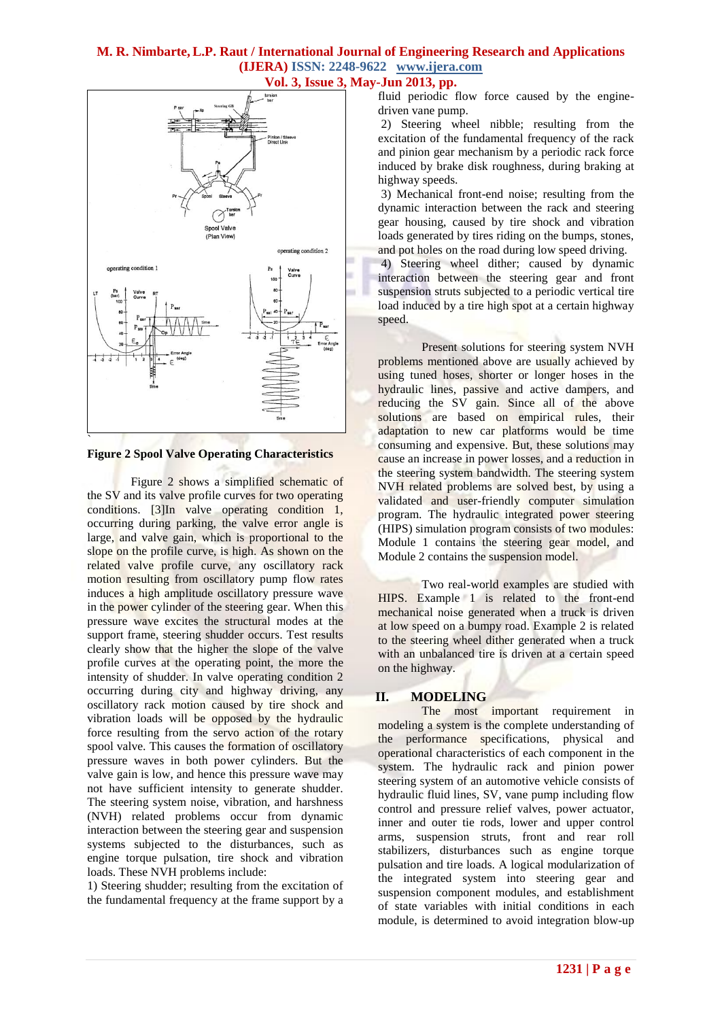## **M. R. Nimbarte,L.P. Raut / International Journal of Engineering Research and Applications (IJERA) ISSN: 2248-9622 www.ijera.com**



**Figure 2 Spool Valve Operating Characteristics**

Figure 2 shows a simplified schematic of the SV and its valve profile curves for two operating conditions. [3]In valve operating condition 1, occurring during parking, the valve error angle is large, and valve gain, which is proportional to the slope on the profile curve, is high. As shown on the related valve profile curve, any oscillatory rack motion resulting from oscillatory pump flow rates induces a high amplitude oscillatory pressure wave in the power cylinder of the steering gear. When this pressure wave excites the structural modes at the support frame, steering shudder occurs. Test results clearly show that the higher the slope of the valve profile curves at the operating point, the more the intensity of shudder. In valve operating condition 2 occurring during city and highway driving, any oscillatory rack motion caused by tire shock and vibration loads will be opposed by the hydraulic force resulting from the servo action of the rotary spool valve. This causes the formation of oscillatory pressure waves in both power cylinders. But the valve gain is low, and hence this pressure wave may not have sufficient intensity to generate shudder. The steering system noise, vibration, and harshness (NVH) related problems occur from dynamic interaction between the steering gear and suspension systems subjected to the disturbances, such as engine torque pulsation, tire shock and vibration loads. These NVH problems include:

1) Steering shudder; resulting from the excitation of the fundamental frequency at the frame support by a

## **Vol. 3, Issue 3, May-Jun 2013, pp.**

fluid periodic flow force caused by the enginedriven vane pump.

2) Steering wheel nibble; resulting from the excitation of the fundamental frequency of the rack and pinion gear mechanism by a periodic rack force induced by brake disk roughness, during braking at highway speeds.

3) Mechanical front-end noise; resulting from the dynamic interaction between the rack and steering gear housing, caused by tire shock and vibration loads generated by tires riding on the bumps, stones, and pot holes on the road during low speed driving.

4) Steering wheel dither; caused by dynamic interaction between the steering gear and front suspension struts subjected to a periodic vertical tire load induced by a tire high spot at a certain highway speed.

Present solutions for steering system NVH problems mentioned above are usually achieved by using tuned hoses, shorter or longer hoses in the hydraulic lines, passive and active dampers, and reducing the SV gain. Since all of the above solutions are based on empirical rules, their adaptation to new car platforms would be time consuming and expensive. But, these solutions may cause an increase in power losses, and a reduction in the steering system bandwidth. The steering system NVH related problems are solved best, by using a validated and user-friendly computer simulation program. The hydraulic integrated power steering (HIPS) simulation program consists of two modules: Module 1 contains the steering gear model, and Module 2 contains the suspension model.

Two real-world examples are studied with HIPS. Example 1 is related to the front-end mechanical noise generated when a truck is driven at low speed on a bumpy road. Example 2 is related to the steering wheel dither generated when a truck with an unbalanced tire is driven at a certain speed on the highway.

## **II. MODELING**

The most important requirement in modeling a system is the complete understanding of the performance specifications, physical and operational characteristics of each component in the system. The hydraulic rack and pinion power steering system of an automotive vehicle consists of hydraulic fluid lines, SV, vane pump including flow control and pressure relief valves, power actuator, inner and outer tie rods, lower and upper control arms, suspension struts, front and rear roll stabilizers, disturbances such as engine torque pulsation and tire loads. A logical modularization of the integrated system into steering gear and suspension component modules, and establishment of state variables with initial conditions in each module, is determined to avoid integration blow-up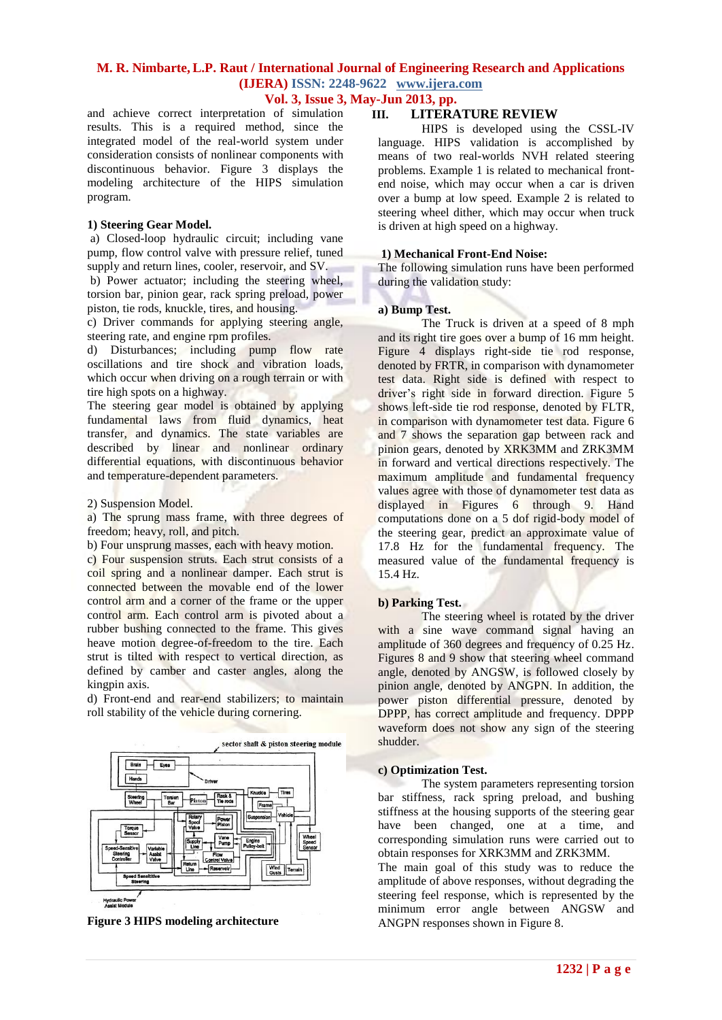## **M. R. Nimbarte,L.P. Raut / International Journal of Engineering Research and Applications (IJERA) ISSN: 2248-9622 www.ijera.com**

## **Vol. 3, Issue 3, May-Jun 2013, pp.**

and achieve correct interpretation of simulation results. This is a required method, since the integrated model of the real-world system under consideration consists of nonlinear components with discontinuous behavior. Figure 3 displays the modeling architecture of the HIPS simulation program.

#### **1) Steering Gear Model.**

a) Closed-loop hydraulic circuit; including vane pump, flow control valve with pressure relief, tuned supply and return lines, cooler, reservoir, and SV.

b) Power actuator; including the steering wheel, torsion bar, pinion gear, rack spring preload, power piston, tie rods, knuckle, tires, and housing.

c) Driver commands for applying steering angle, steering rate, and engine rpm profiles.

d) Disturbances; including pump flow rate oscillations and tire shock and vibration loads, which occur when driving on a rough terrain or with tire high spots on a highway.

The steering gear model is obtained by applying fundamental laws from fluid dynamics, heat transfer, and dynamics. The state variables are described by linear and nonlinear ordinary differential equations, with discontinuous behavior and temperature-dependent parameters.

2) Suspension Model.

a) The sprung mass frame, with three degrees of freedom; heavy, roll, and pitch.

b) Four unsprung masses, each with heavy motion.

c) Four suspension struts. Each strut consists of a coil spring and a nonlinear damper. Each strut is connected between the movable end of the lower control arm and a corner of the frame or the upper control arm. Each control arm is pivoted about a rubber bushing connected to the frame. This gives heave motion degree-of-freedom to the tire. Each strut is tilted with respect to vertical direction, as defined by camber and caster angles, along the kingpin axis.

d) Front-end and rear-end stabilizers; to maintain roll stability of the vehicle during cornering.



**Figure 3 HIPS modeling architecture**

## **III. LITERATURE REVIEW**

HIPS is developed using the CSSL-IV language. HIPS validation is accomplished by means of two real-worlds NVH related steering problems. Example 1 is related to mechanical frontend noise, which may occur when a car is driven over a bump at low speed. Example 2 is related to steering wheel dither, which may occur when truck is driven at high speed on a highway.

#### **1) Mechanical Front-End Noise:**

The following simulation runs have been performed during the validation study:

#### **a) Bump Test.**

The Truck is driven at a speed of 8 mph and its right tire goes over a bump of 16 mm height. Figure 4 displays right-side tie rod response, denoted by FRTR, in comparison with dynamometer test data. Right side is defined with respect to driver's right side in forward direction. Figure 5 shows left-side tie rod response, denoted by FLTR, in comparison with dynamometer test data. Figure 6 and 7 shows the separation gap between rack and pinion gears, denoted by XRK3MM and ZRK3MM in forward and vertical directions respectively. The maximum amplitude and fundamental frequency values agree with those of dynamometer test data as displayed in Figures 6 through 9. Hand computations done on a 5 dof rigid-body model of the steering gear, predict an approximate value of 17.8 Hz for the fundamental frequency. The measured value of the fundamental frequency is 15.4 Hz.

#### **b) Parking Test.**

The steering wheel is rotated by the driver with a sine wave command signal having an amplitude of 360 degrees and frequency of 0.25 Hz. Figures 8 and 9 show that steering wheel command angle, denoted by ANGSW, is followed closely by pinion angle, denoted by ANGPN. In addition, the power piston differential pressure, denoted by DPPP, has correct amplitude and frequency. DPPP waveform does not show any sign of the steering shudder.

#### **c) Optimization Test.**

The system parameters representing torsion bar stiffness, rack spring preload, and bushing stiffness at the housing supports of the steering gear have been changed, one at a time, and corresponding simulation runs were carried out to obtain responses for XRK3MM and ZRK3MM.

The main goal of this study was to reduce the amplitude of above responses, without degrading the steering feel response, which is represented by the minimum error angle between ANGSW and ANGPN responses shown in Figure 8.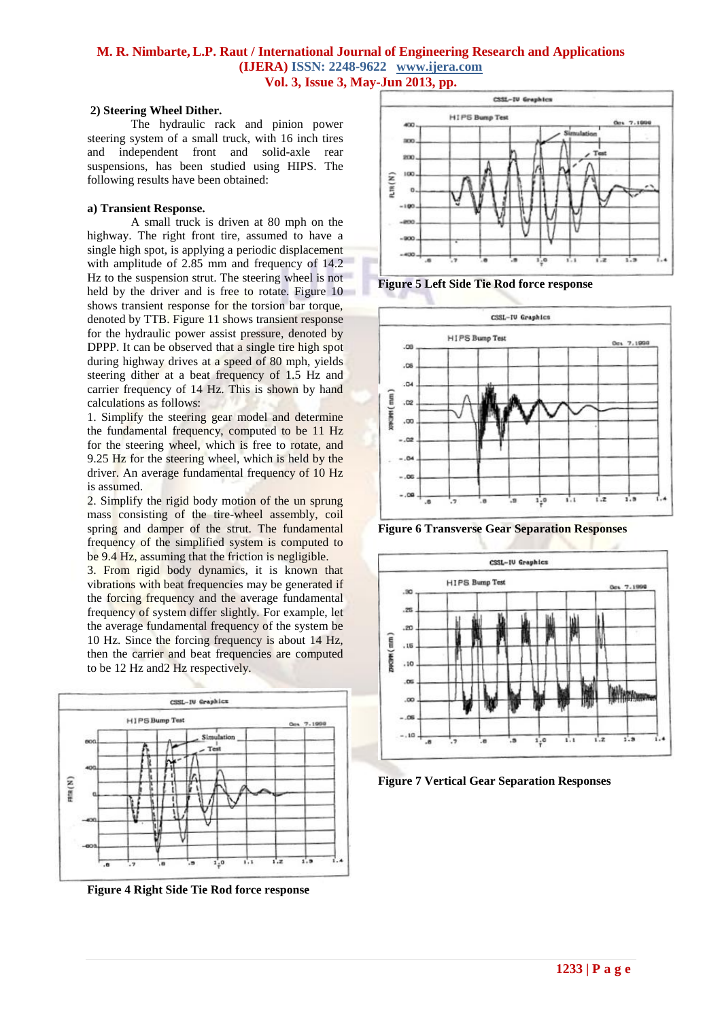## **M. R. Nimbarte,L.P. Raut / International Journal of Engineering Research and Applications (IJERA) ISSN: 2248-9622 www.ijera.com Vol. 3, Issue 3, May-Jun 2013, pp.**

#### **2) Steering Wheel Dither.**

The hydraulic rack and pinion power steering system of a small truck, with 16 inch tires and independent front and solid-axle rear suspensions, has been studied using HIPS. The following results have been obtained:

#### **a) Transient Response.**

A small truck is driven at 80 mph on the highway. The right front tire, assumed to have a single high spot, is applying a periodic displacement with amplitude of 2.85 mm and frequency of 14.2 Hz to the suspension strut. The steering wheel is not held by the driver and is free to rotate. Figure 10 shows transient response for the torsion bar torque, denoted by TTB. Figure 11 shows transient response for the hydraulic power assist pressure, denoted by DPPP. It can be observed that a single tire high spot during highway drives at a speed of 80 mph, yields steering dither at a beat frequency of 1.5 Hz and carrier frequency of 14 Hz. This is shown by hand calculations as follows:

1. Simplify the steering gear model and determine the fundamental frequency, computed to be 11 Hz for the steering wheel, which is free to rotate, and 9.25 Hz for the steering wheel, which is held by the driver. An average fundamental frequency of 10 Hz is assumed.

2. Simplify the rigid body motion of the un sprung mass consisting of the tire-wheel assembly, coil spring and damper of the strut. The fundamental frequency of the simplified system is computed to be 9.4 Hz, assuming that the friction is negligible.

3. From rigid body dynamics, it is known that vibrations with beat frequencies may be generated if the forcing frequency and the average fundamental frequency of system differ slightly. For example, let the average fundamental frequency of the system be 10 Hz. Since the forcing frequency is about 14 Hz, then the carrier and beat frequencies are computed to be 12 Hz and2 Hz respectively.



**Figure 4 Right Side Tie Rod force response**



**Figure 5 Left Side Tie Rod force response**



**Figure 6 Transverse Gear Separation Responses**



**Figure 7 Vertical Gear Separation Responses**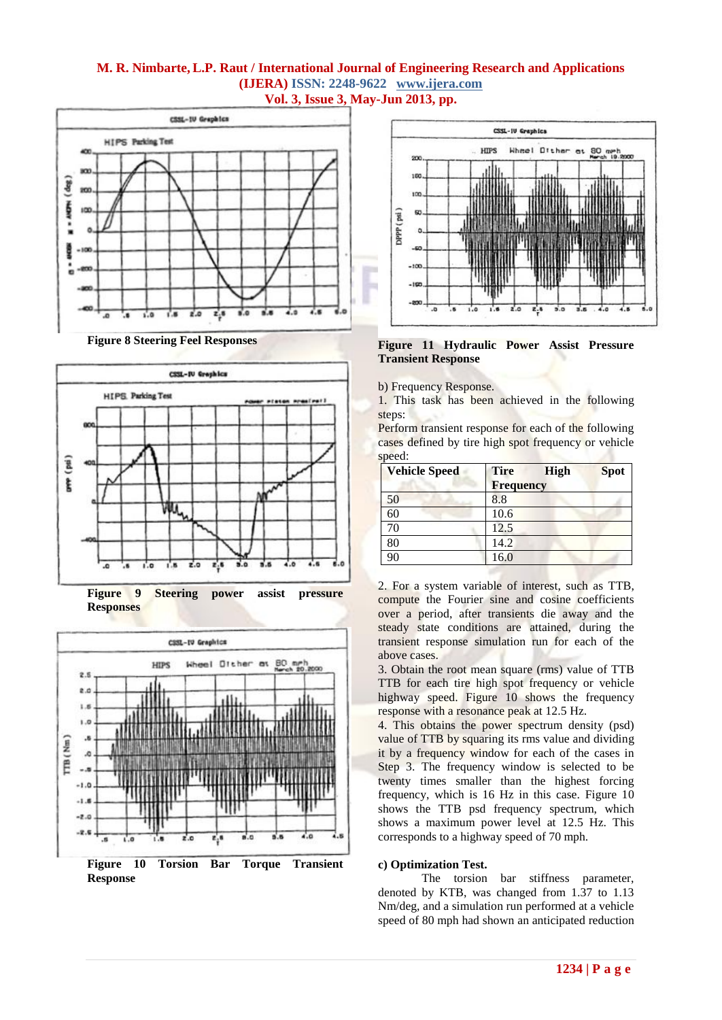## **M. R. Nimbarte,L.P. Raut / International Journal of Engineering Research and Applications (IJERA) ISSN: 2248-9622 www.ijera.com Vol. 3, Issue 3, May-Jun 2013, pp.**







**Figure 9 Steering power assist pressure Responses**



**Response**



**Figure 11 Hydraulic Power Assist Pressure Transient Response**

b) Frequency Response.

1. This task has been achieved in the following steps:

Perform transient response for each of the following cases defined by tire high spot frequency or vehicle speed:

| <b>Vehicle Speed</b> | <b>Tire</b>      | High | <b>Spot</b> |
|----------------------|------------------|------|-------------|
|                      | <b>Frequency</b> |      |             |
| 50                   | 8.8              |      |             |
| 60                   | 10.6             |      |             |
| 70                   | 12.5             |      |             |
| 80                   | 14.2             |      |             |
| 90                   | 16.0             |      |             |

2. For a system variable of interest, such as TTB, compute the Fourier sine and cosine coefficients over a period, after transients die away and the steady state conditions are attained, during the transient response simulation run for each of the above cases.

3. Obtain the root mean square (rms) value of TTB TTB for each tire high spot frequency or vehicle highway speed. Figure 10 shows the frequency response with a resonance peak at 12.5 Hz.

4. This obtains the power spectrum density (psd) value of TTB by squaring its rms value and dividing it by a frequency window for each of the cases in Step 3. The frequency window is selected to be twenty times smaller than the highest forcing frequency, which is 16 Hz in this case. Figure 10 shows the TTB psd frequency spectrum, which shows a maximum power level at 12.5 Hz. This corresponds to a highway speed of 70 mph.

## **c) Optimization Test.**

The torsion bar stiffness parameter, denoted by KTB, was changed from 1.37 to 1.13 Nm/deg, and a simulation run performed at a vehicle speed of 80 mph had shown an anticipated reduction